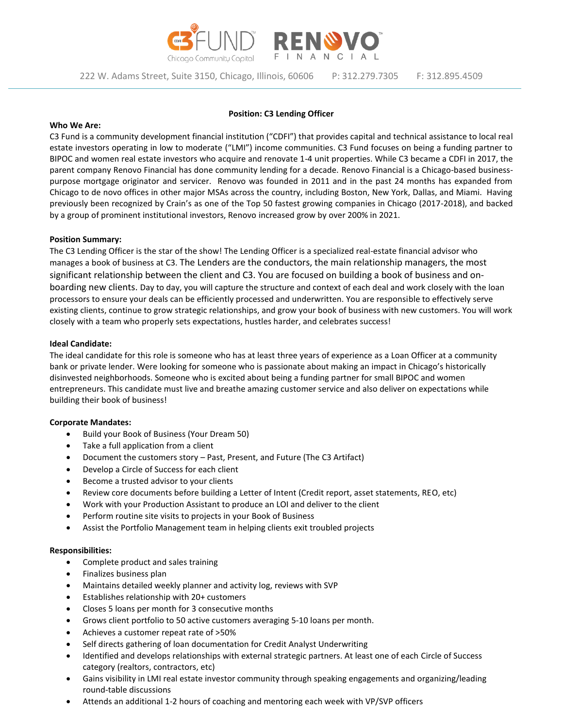

222 W. Adams Street, Suite 3150, Chicago, Illinois, 60606 P: 312.279.7305 F: 312.895.4509

## **Position: C3 Lending Officer**

#### **Who We Are:**

C3 Fund is a community development financial institution ("CDFI") that provides capital and technical assistance to local real estate investors operating in low to moderate ("LMI") income communities. C3 Fund focuses on being a funding partner to BIPOC and women real estate investors who acquire and renovate 1-4 unit properties. While C3 became a CDFI in 2017, the parent company Renovo Financial has done community lending for a decade. Renovo Financial is a Chicago-based businesspurpose mortgage originator and servicer. Renovo was founded in 2011 and in the past 24 months has expanded from Chicago to de novo offices in other major MSAs across the country, including Boston, New York, Dallas, and Miami. Having previously been recognized by Crain's as one of the Top 50 fastest growing companies in Chicago (2017-2018), and backed by a group of prominent institutional investors, Renovo increased grow by over 200% in 2021.

## **Position Summary:**

The C3 Lending Officer is the star of the show! The Lending Officer is a specialized real-estate financial advisor who manages a book of business at C3. The Lenders are the conductors, the main relationship managers, the most significant relationship between the client and C3. You are focused on building a book of business and onboarding new clients. Day to day, you will capture the structure and context of each deal and work closely with the loan processors to ensure your deals can be efficiently processed and underwritten. You are responsible to effectively serve existing clients, continue to grow strategic relationships, and grow your book of business with new customers. You will work closely with a team who properly sets expectations, hustles harder, and celebrates success!

## **Ideal Candidate:**

The ideal candidate for this role is someone who has at least three years of experience as a Loan Officer at a community bank or private lender. Were looking for someone who is passionate about making an impact in Chicago's historically disinvested neighborhoods. Someone who is excited about being a funding partner for small BIPOC and women entrepreneurs. This candidate must live and breathe amazing customer service and also deliver on expectations while building their book of business!

#### **Corporate Mandates:**

- Build your Book of Business (Your Dream 50)
- Take a full application from a client
- Document the customers story Past, Present, and Future (The C3 Artifact)
- Develop a Circle of Success for each client
- Become a trusted advisor to your clients
- Review core documents before building a Letter of Intent (Credit report, asset statements, REO, etc)
- Work with your Production Assistant to produce an LOI and deliver to the client
- Perform routine site visits to projects in your Book of Business
- Assist the Portfolio Management team in helping clients exit troubled projects

#### **Responsibilities:**

- Complete product and sales training
- Finalizes business plan
- Maintains detailed weekly planner and activity log, reviews with SVP
- Establishes relationship with 20+ customers
- Closes 5 loans per month for 3 consecutive months
- Grows client portfolio to 50 active customers averaging 5-10 loans per month.
- Achieves a customer repeat rate of >50%
- Self directs gathering of loan documentation for Credit Analyst Underwriting
- Identified and develops relationships with external strategic partners. At least one of each Circle of Success category (realtors, contractors, etc)
- Gains visibility in LMI real estate investor community through speaking engagements and organizing/leading round-table discussions
- Attends an additional 1-2 hours of coaching and mentoring each week with VP/SVP officers